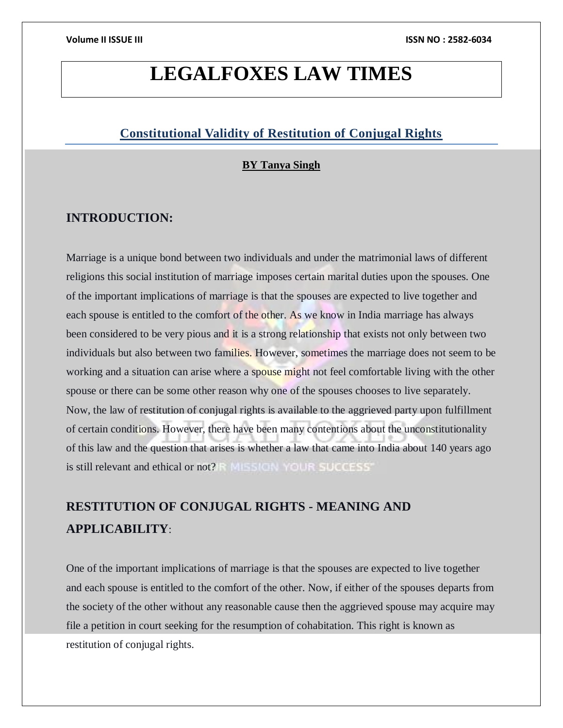# **LEGALFOXES LAW TIMES**

# **Constitutional Validity of Restitution of Conjugal Rights**

## **BY Tanya Singh**

# **INTRODUCTION:**

Marriage is a unique bond between two individuals and under the matrimonial laws of different religions this social institution of marriage imposes certain marital duties upon the spouses. One of the important implications of marriage is that the spouses are expected to live together and each spouse is entitled to the comfort of the other. As we know in India marriage has always been considered to be very pious and it is a strong relationship that exists not only between two individuals but also between two families. However, sometimes the marriage does not seem to be working and a situation can arise where a spouse might not feel comfortable living with the other spouse or there can be some other reason why one of the spouses chooses to live separately. Now, the law of restitution of conjugal rights is available to the aggrieved party upon fulfillment of certain conditions. However, there have been many contentions about the unconstitutionality of this law and the question that arises is whether a law that came into India about 140 years ago is still relevant and ethical or not? R MISSION YOUR SUCCESS'

# **RESTITUTION OF CONJUGAL RIGHTS - MEANING AND APPLICABILITY**:

One of the important implications of marriage is that the spouses are expected to live together and each spouse is entitled to the comfort of the other. Now, if either of the spouses departs from the society of the other without any reasonable cause then the aggrieved spouse may acquire may file a petition in court seeking for the resumption of cohabitation. This right is known as restitution of conjugal rights.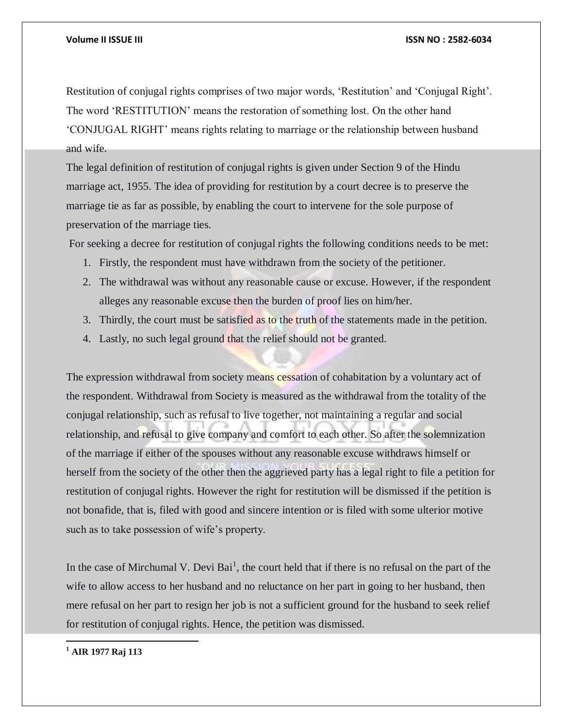Restitution of conjugal rights comprises of two major words, 'Restitution' and 'Conjugal Right'. The word 'RESTITUTION' means the restoration of something lost. On the other hand 'CONJUGAL RIGHT' means rights relating to marriage or the relationship between husband and wife.

The legal definition of restitution of conjugal rights is given under Section 9 of the Hindu marriage act, 1955. The idea of providing for restitution by a court decree is to preserve the marriage tie as far as possible, by enabling the court to intervene for the sole purpose of preservation of the marriage ties.

For seeking a decree for restitution of conjugal rights the following conditions needs to be met:

- 1. Firstly, the respondent must have withdrawn from the society of the petitioner.
- 2. The withdrawal was without any reasonable cause or excuse. However, if the respondent alleges any reasonable excuse then the burden of proof lies on him/her.
- 3. Thirdly, the court must be satisfied as to the truth of the statements made in the petition.
- 4. Lastly, no such legal ground that the relief should not be granted.

The expression withdrawal from society means cessation of cohabitation by a voluntary act of the respondent. Withdrawal from Society is measured as the withdrawal from the totality of the conjugal relationship, such as refusal to live together, not maintaining a regular and social relationship, and refusal to give company and comfort to each other. So after the solemnization of the marriage if either of the spouses without any reasonable excuse withdraws himself or herself from the society of the other then the aggrieved party has a legal right to file a petition for restitution of conjugal rights. However the right for restitution will be dismissed if the petition is not bonafide, that is, filed with good and sincere intention or is filed with some ulterior motive such as to take possession of wife's property.

In the case of Mirchumal V. Devi Bai<sup>1</sup>, the court held that if there is no refusal on the part of the wife to allow access to her husband and no reluctance on her part in going to her husband, then mere refusal on her part to resign her job is not a sufficient ground for the husband to seek relief for restitution of conjugal rights. Hence, the petition was dismissed.

**<sup>1</sup> AIR 1977 Raj 113**

 $\overline{a}$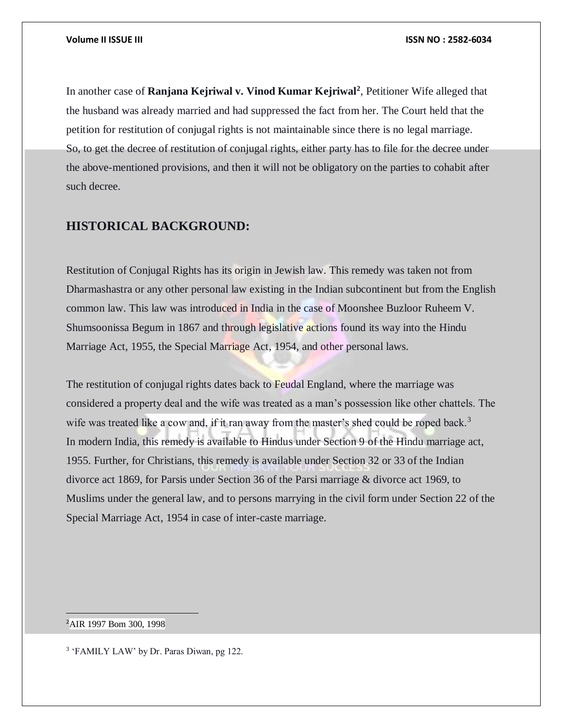In another case of **Ranjana Kejriwal v. Vinod Kumar Kejriwal<sup>2</sup>** , Petitioner Wife alleged that the husband was already married and had suppressed the fact from her. The Court held that the petition for restitution of conjugal rights is not maintainable since there is no legal marriage. So, to get the decree of restitution of conjugal rights, either party has to file for the decree under the above-mentioned provisions, and then it will not be obligatory on the parties to cohabit after such decree.

# **HISTORICAL BACKGROUND:**

Restitution of Conjugal Rights has its origin in Jewish law. This remedy was taken not from Dharmashastra or any other personal law existing in the Indian subcontinent but from the English common law. This law was introduced in India in the case of Moonshee Buzloor Ruheem V. Shumsoonissa Begum in 1867 and through legislative actions found its way into the Hindu Marriage Act, 1955, the Special Marriage Act, 1954, and other personal laws.

The restitution of conjugal rights dates back to Feudal England, where the marriage was considered a property deal and the wife was treated as a man's possession like other chattels. The wife was treated like a cow and, if it ran away from the master's shed could be roped back.<sup>3</sup> In modern India, this remedy is available to Hindus under Section 9 of the Hindu marriage act, 1955. Further, for Christians, this remedy is available under Section 32 or 33 of the Indian divorce act 1869, for Parsis under Section 36 of the Parsi marriage & divorce act 1969, to Muslims under the general law, and to persons marrying in the civil form under Section 22 of the Special Marriage Act, 1954 in case of inter-caste marriage.

<sup>2</sup>AIR 1997 Bom 300, 1998

 $\overline{a}$ 

<sup>3</sup> 'FAMILY LAW' by Dr. Paras Diwan, pg 122.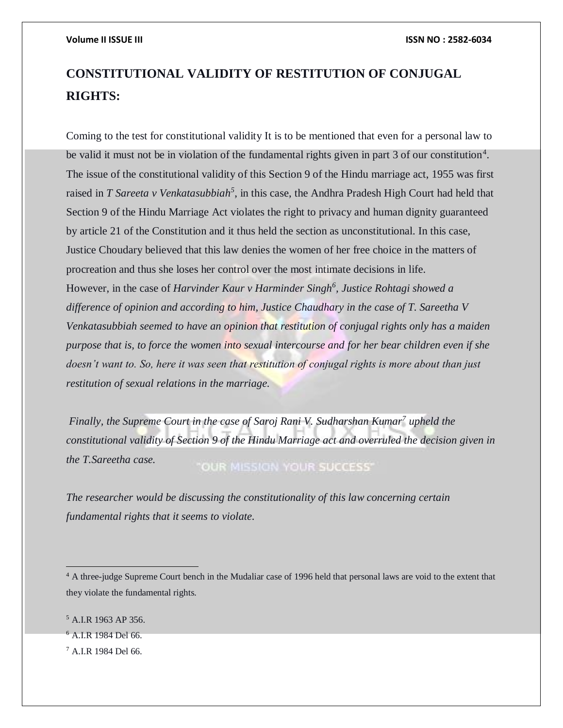# **CONSTITUTIONAL VALIDITY OF RESTITUTION OF CONJUGAL RIGHTS:**

Coming to the test for constitutional validity It is to be mentioned that even for a personal law to be valid it must not be in violation of the fundamental rights given in part 3 of our constitution<sup>4</sup>. The issue of the constitutional validity of this Section 9 of the Hindu marriage act, 1955 was first raised in *T Sareeta v Venkatasubbiah*<sup>5</sup>, in this case, the Andhra Pradesh High Court had held that Section 9 of the Hindu Marriage Act violates the right to privacy and human dignity guaranteed by article 21 of the Constitution and it thus held the section as unconstitutional. In this case, Justice Choudary believed that this law denies the women of her free choice in the matters of procreation and thus she loses her control over the most intimate decisions in life. However, in the case of *Harvinder Kaur v Harminder Singh<sup>6</sup> , Justice Rohtagi showed a difference of opinion and according to him, Justice Chaudhary in the case of T. Sareetha V Venkatasubbiah seemed to have an opinion that restitution of conjugal rights only has a maiden purpose that is, to force the women into sexual intercourse and for her bear children even if she doesn't want to. So, here it was seen that restitution of conjugal rights is more about than just restitution of sexual relations in the marriage.*

*Finally, the Supreme Court in the case of Saroj Rani V. Sudharshan Kumar<sup>7</sup> upheld the constitutional validity of Section 9 of the Hindu Marriage act and overruled the decision given in the T.Sareetha case.* "OUR MISSION YOUR SUCCESS"

*The researcher would be discussing the constitutionality of this law concerning certain fundamental rights that it seems to violate.*

 $\overline{a}$ 

<sup>&</sup>lt;sup>4</sup> A three-judge Supreme Court bench in the Mudaliar case of 1996 held that personal laws are void to the extent that they violate the fundamental rights.

<sup>5</sup> A.I.R 1963 AP 356.

<sup>6</sup> A.I.R 1984 Del 66.

 $^7$  A.I.R 1984 Del 66.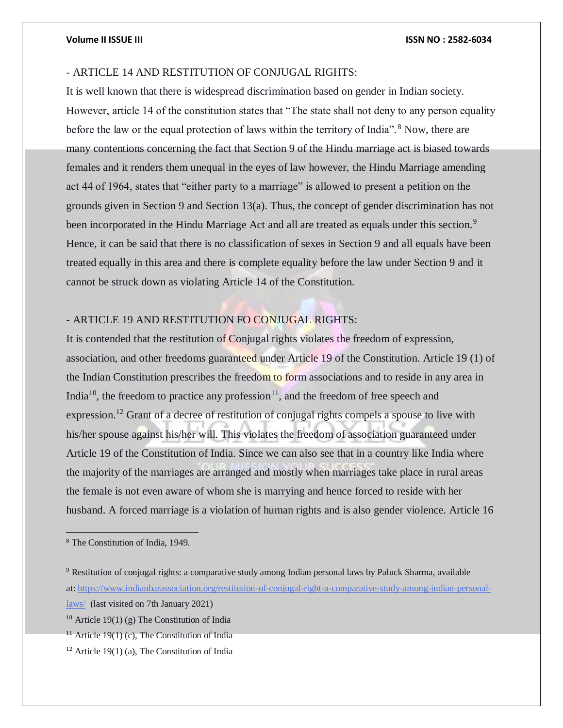### **Volume II ISSUE III ISSN NO : 2582-6034**

## - ARTICLE 14 AND RESTITUTION OF CONJUGAL RIGHTS:

It is well known that there is widespread discrimination based on gender in Indian society. However, article 14 of the constitution states that "The state shall not deny to any person equality before the law or the equal protection of laws within the territory of India".<sup>8</sup> Now, there are many contentions concerning the fact that Section 9 of the Hindu marriage act is biased towards females and it renders them unequal in the eyes of law however, the Hindu Marriage amending act 44 of 1964, states that "either party to a marriage" is allowed to present a petition on the grounds given in Section 9 and Section 13(a). Thus, the concept of gender discrimination has not been incorporated in the Hindu Marriage Act and all are treated as equals under this section.<sup>9</sup> Hence, it can be said that there is no classification of sexes in Section 9 and all equals have been treated equally in this area and there is complete equality before the law under Section 9 and it cannot be struck down as violating Article 14 of the Constitution.

# - ARTICLE 19 AND RESTITUTION FO CONJUGAL RIGHTS:

It is contended that the restitution of Conjugal rights violates the freedom of expression, association, and other freedoms guaranteed under Article 19 of the Constitution. Article 19 (1) of the Indian Constitution prescribes the freedom to form associations and to reside in any area in India<sup>10</sup>, the freedom to practice any profession<sup>11</sup>, and the freedom of free speech and expression.<sup>12</sup> Grant of a decree of restitution of conjugal rights compels a spouse to live with his/her spouse against his/her will. This violates the freedom of association guaranteed under Article 19 of the Constitution of India. Since we can also see that in a country like India where the majority of the marriages are arranged and mostly when marriages take place in rural areas the female is not even aware of whom she is marrying and hence forced to reside with her husband. A forced marriage is a violation of human rights and is also gender violence. Article 16

<sup>9</sup> Restitution of conjugal rights: a comparative study among Indian personal laws by Paluck Sharma, available at: [https://www.indianbarassociation.org/restitution-of-conjugal-right-a-comparative-study-among-indian-personal-](https://www.indianbarassociation.org/restitution-of-conjugal-right-a-comparative-study-among-indian-personal-laws/)

<sup>8</sup> The Constitution of India, 1949.

[laws/](https://www.indianbarassociation.org/restitution-of-conjugal-right-a-comparative-study-among-indian-personal-laws/) (last visited on 7th January 2021)

<sup>&</sup>lt;sup>10</sup> Article 19(1) (g) The Constitution of India

<sup>&</sup>lt;sup>11</sup> Article 19(1) (c), The Constitution of India

 $12$  Article 19(1) (a), The Constitution of India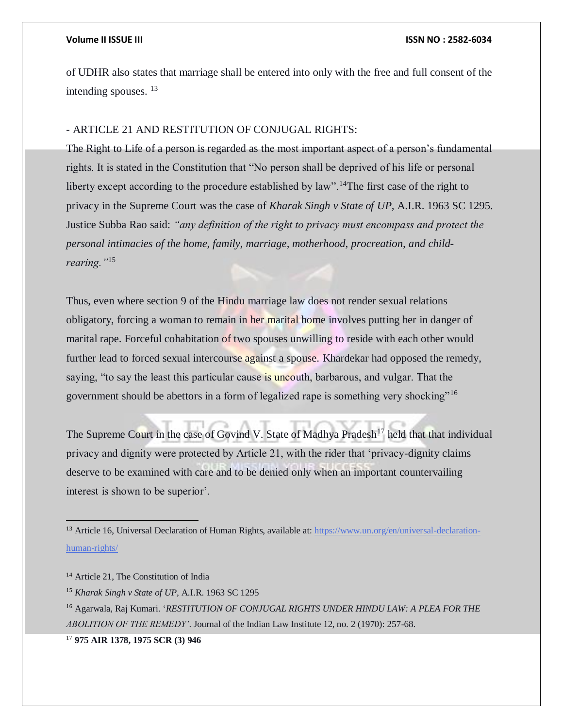of UDHR also states that marriage shall be entered into only with the free and full consent of the intending spouses. <sup>13</sup>

### - ARTICLE 21 AND RESTITUTION OF CONJUGAL RIGHTS:

The Right to Life of a person is regarded as the most important aspect of a person's fundamental rights. It is stated in the Constitution that "No person shall be deprived of his life or personal liberty except according to the procedure established by law".<sup>14</sup>The first case of the right to privacy in the Supreme Court was the case of *Kharak Singh v State of UP,* A.I.R. 1963 SC 1295. Justice Subba Rao said: *"any definition of the right to privacy must encompass and protect the personal intimacies of the home, family, marriage, motherhood, procreation, and childrearing."*<sup>15</sup>

Thus, even where section 9 of the Hindu marriage law does not render sexual relations obligatory, forcing a woman to remain in her marital home involves putting her in danger of marital rape. Forceful cohabitation of two spouses unwilling to reside with each other would further lead to forced sexual intercourse against a spouse. Khardekar had opposed the remedy, saying, "to say the least this particular cause is uncouth, barbarous, and vulgar. That the government should be abettors in a form of legalized rape is something very shocking"<sup>16</sup>

The Supreme Court in the case of Govind V. State of Madhya Pradesh<sup>17</sup> held that that individual privacy and dignity were protected by Article 21, with the rider that 'privacy-dignity claims deserve to be examined with care and to be denied only when an important countervailing interest is shown to be superior'.

 $\overline{a}$ 

<sup>&</sup>lt;sup>13</sup> Article 16, Universal Declaration of Human Rights, available at:  $\frac{h_{\text{t}}}{h_{\text{t}}(x)}$  [https://www.un.org/en/universal-declaration](https://www.un.org/en/universal-declaration-human-rights/)[human-rights/](https://www.un.org/en/universal-declaration-human-rights/)

<sup>&</sup>lt;sup>14</sup> Article 21, The Constitution of India

<sup>15</sup> *Kharak Singh v State of UP,* A.I.R. 1963 SC 1295

<sup>16</sup> Agarwala, Raj Kumari. '*RESTITUTION OF CONJUGAL RIGHTS UNDER HINDU LAW: A PLEA FOR THE ABOLITION OF THE REMEDY'*. Journal of the Indian Law Institute 12, no. 2 (1970): 257-68.

<sup>17</sup> **975 AIR 1378, 1975 SCR (3) 946**